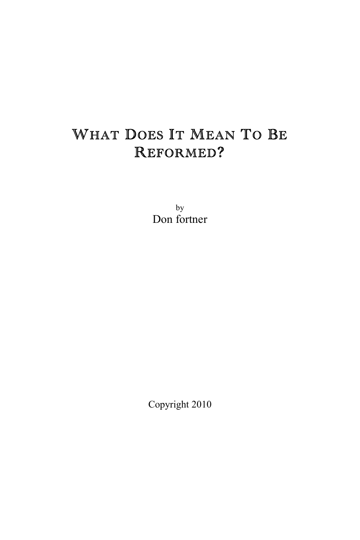# WHAT DOES IT MEAN TO BE REFORMED?

by Don fortner

Copyright 2010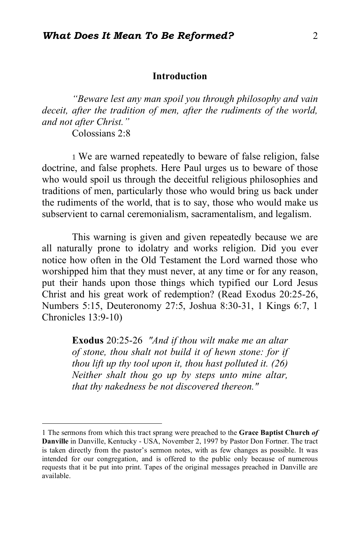#### **Introduction**

*"Beware lest any man spoil you through philosophy and vain deceit, after the tradition of men, after the rudiments of the world, and not after Christ."* Colossians 2:8

 1 We are warned repeatedly to beware of false religion, false doctrine, and false prophets. Here Paul urges us to beware of those who would spoil us through the deceitful religious philosophies and traditions of men, particularly those who would bring us back under the rudiments of the world, that is to say, those who would make us subservient to carnal ceremonialism, sacramentalism, and legalism.

This warning is given and given repeatedly because we are all naturally prone to idolatry and works religion. Did you ever notice how often in the Old Testament the Lord warned those who worshipped him that they must never, at any time or for any reason, put their hands upon those things which typified our Lord Jesus Christ and his great work of redemption? (Read Exodus 20:25-26, Numbers 5:15, Deuteronomy 27:5, Joshua 8:30-31, 1 Kings 6:7, 1 Chronicles 13:9-10)

> **Exodus** 20:25-26 *"And if thou wilt make me an altar of stone, thou shalt not build it of hewn stone: for if thou lift up thy tool upon it, thou hast polluted it. (26) Neither shalt thou go up by steps unto mine altar, that thy nakedness be not discovered thereon."*

 <sup>1</sup> The sermons from which this tract sprang were preached to the **Grace Baptist Church** *of*  **Danville** in Danville, Kentucky - USA, November 2, 1997 by Pastor Don Fortner. The tract is taken directly from the pastor's sermon notes, with as few changes as possible. It was intended for our congregation, and is offered to the public only because of numerous requests that it be put into print. Tapes of the original messages preached in Danville are available.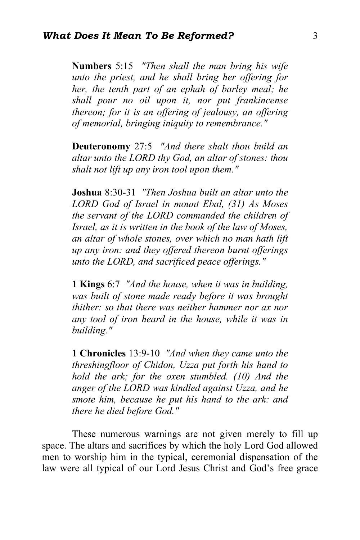**Numbers** 5:15 *"Then shall the man bring his wife unto the priest, and he shall bring her offering for her, the tenth part of an ephah of barley meal; he shall pour no oil upon it, nor put frankincense thereon; for it is an offering of jealousy, an offering of memorial, bringing iniquity to remembrance."*

**Deuteronomy** 27:5 *"And there shalt thou build an altar unto the LORD thy God, an altar of stones: thou shalt not lift up any iron tool upon them."*

**Joshua** 8:30-31 *"Then Joshua built an altar unto the LORD God of Israel in mount Ebal, (31) As Moses the servant of the LORD commanded the children of Israel, as it is written in the book of the law of Moses, an altar of whole stones, over which no man hath lift up any iron: and they offered thereon burnt offerings unto the LORD, and sacrificed peace offerings."*

**1 Kings** 6:7 *"And the house, when it was in building, was built of stone made ready before it was brought thither: so that there was neither hammer nor ax nor any tool of iron heard in the house, while it was in building."*

**1 Chronicles** 13:9-10 *"And when they came unto the threshingfloor of Chidon, Uzza put forth his hand to hold the ark; for the oxen stumbled. (10) And the anger of the LORD was kindled against Uzza, and he smote him, because he put his hand to the ark: and there he died before God."*

These numerous warnings are not given merely to fill up space. The altars and sacrifices by which the holy Lord God allowed men to worship him in the typical, ceremonial dispensation of the law were all typical of our Lord Jesus Christ and God's free grace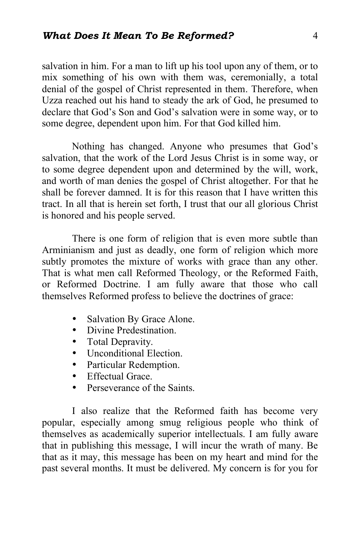salvation in him. For a man to lift up his tool upon any of them, or to mix something of his own with them was, ceremonially, a total denial of the gospel of Christ represented in them. Therefore, when Uzza reached out his hand to steady the ark of God, he presumed to declare that God's Son and God's salvation were in some way, or to some degree, dependent upon him. For that God killed him.

Nothing has changed. Anyone who presumes that God's salvation, that the work of the Lord Jesus Christ is in some way, or to some degree dependent upon and determined by the will, work, and worth of man denies the gospel of Christ altogether. For that he shall be forever damned. It is for this reason that I have written this tract. In all that is herein set forth, I trust that our all glorious Christ is honored and his people served.

There is one form of religion that is even more subtle than Arminianism and just as deadly, one form of religion which more subtly promotes the mixture of works with grace than any other. That is what men call Reformed Theology, or the Reformed Faith, or Reformed Doctrine. I am fully aware that those who call themselves Reformed profess to believe the doctrines of grace:

- Salvation By Grace Alone.
- Divine Predestination.
- Total Depravity.
- Unconditional Election.
- Particular Redemption.
- Effectual Grace
- Perseverance of the Saints

I also realize that the Reformed faith has become very popular, especially among smug religious people who think of themselves as academically superior intellectuals. I am fully aware that in publishing this message, I will incur the wrath of many. Be that as it may, this message has been on my heart and mind for the past several months. It must be delivered. My concern is for you for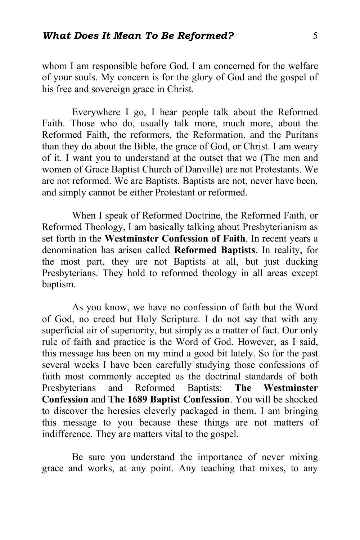whom I am responsible before God. I am concerned for the welfare of your souls. My concern is for the glory of God and the gospel of his free and sovereign grace in Christ.

Everywhere I go, I hear people talk about the Reformed Faith. Those who do, usually talk more, much more, about the Reformed Faith, the reformers, the Reformation, and the Puritans than they do about the Bible, the grace of God, or Christ. I am weary of it. I want you to understand at the outset that we (The men and women of Grace Baptist Church of Danville) are not Protestants. We are not reformed. We are Baptists. Baptists are not, never have been, and simply cannot be either Protestant or reformed.

When I speak of Reformed Doctrine, the Reformed Faith, or Reformed Theology, I am basically talking about Presbyterianism as set forth in the **Westminster Confession of Faith**. In recent years a denomination has arisen called **Reformed Baptists**. In reality, for the most part, they are not Baptists at all, but just ducking Presbyterians. They hold to reformed theology in all areas except baptism.

As you know, we have no confession of faith but the Word of God, no creed but Holy Scripture. I do not say that with any superficial air of superiority, but simply as a matter of fact. Our only rule of faith and practice is the Word of God. However, as I said, this message has been on my mind a good bit lately. So for the past several weeks I have been carefully studying those confessions of faith most commonly accepted as the doctrinal standards of both Presbyterians and Reformed Baptists: **The Westminster Confession** and **The 1689 Baptist Confession**. You will be shocked to discover the heresies cleverly packaged in them. I am bringing this message to you because these things are not matters of indifference. They are matters vital to the gospel.

Be sure you understand the importance of never mixing grace and works, at any point. Any teaching that mixes, to any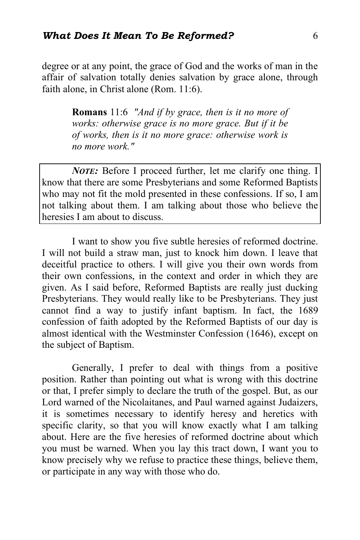degree or at any point, the grace of God and the works of man in the affair of salvation totally denies salvation by grace alone, through faith alone, in Christ alone (Rom. 11:6).

> **Romans** 11:6 *"And if by grace, then is it no more of works: otherwise grace is no more grace. But if it be of works, then is it no more grace: otherwise work is no more work."*

*NOTE:* Before I proceed further, let me clarify one thing. I know that there are some Presbyterians and some Reformed Baptists who may not fit the mold presented in these confessions. If so, I am not talking about them. I am talking about those who believe the heresies I am about to discuss.

I want to show you five subtle heresies of reformed doctrine. I will not build a straw man, just to knock him down. I leave that deceitful practice to others. I will give you their own words from their own confessions, in the context and order in which they are given. As I said before, Reformed Baptists are really just ducking Presbyterians. They would really like to be Presbyterians. They just cannot find a way to justify infant baptism. In fact, the 1689 confession of faith adopted by the Reformed Baptists of our day is almost identical with the Westminster Confession (1646), except on the subject of Baptism.

Generally, I prefer to deal with things from a positive position. Rather than pointing out what is wrong with this doctrine or that, I prefer simply to declare the truth of the gospel. But, as our Lord warned of the Nicolaitanes, and Paul warned against Judaizers, it is sometimes necessary to identify heresy and heretics with specific clarity, so that you will know exactly what I am talking about. Here are the five heresies of reformed doctrine about which you must be warned. When you lay this tract down, I want you to know precisely why we refuse to practice these things, believe them, or participate in any way with those who do.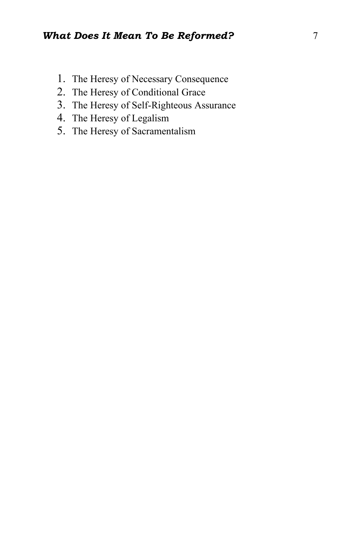- 1. The Heresy of Necessary Consequence
- 2. The Heresy of Conditional Grace
- 3. The Heresy of Self-Righteous Assurance
- 4. The Heresy of Legalism
- 5. The Heresy of Sacramentalism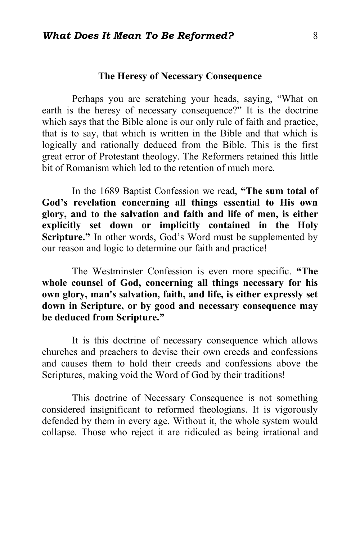#### **The Heresy of Necessary Consequence**

Perhaps you are scratching your heads, saying, "What on earth is the heresy of necessary consequence?" It is the doctrine which says that the Bible alone is our only rule of faith and practice, that is to say, that which is written in the Bible and that which is logically and rationally deduced from the Bible. This is the first great error of Protestant theology. The Reformers retained this little bit of Romanism which led to the retention of much more.

In the 1689 Baptist Confession we read, **"The sum total of God's revelation concerning all things essential to His own glory, and to the salvation and faith and life of men, is either explicitly set down or implicitly contained in the Holy Scripture."** In other words, God's Word must be supplemented by our reason and logic to determine our faith and practice!

The Westminster Confession is even more specific. **"The whole counsel of God, concerning all things necessary for his own glory, man's salvation, faith, and life, is either expressly set down in Scripture, or by good and necessary consequence may be deduced from Scripture."**

It is this doctrine of necessary consequence which allows churches and preachers to devise their own creeds and confessions and causes them to hold their creeds and confessions above the Scriptures, making void the Word of God by their traditions!

This doctrine of Necessary Consequence is not something considered insignificant to reformed theologians. It is vigorously defended by them in every age. Without it, the whole system would collapse. Those who reject it are ridiculed as being irrational and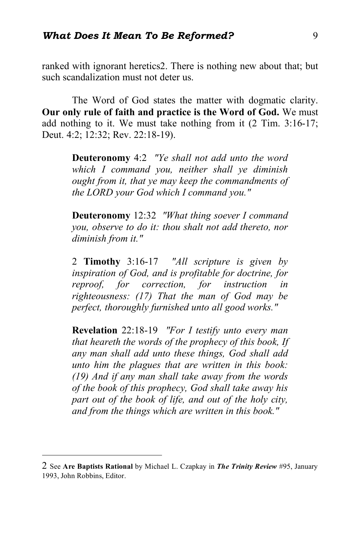ranked with ignorant heretics2. There is nothing new about that; but such scandalization must not deter us.

The Word of God states the matter with dogmatic clarity. **Our only rule of faith and practice is the Word of God.** We must add nothing to it. We must take nothing from it (2 Tim. 3:16-17; Deut. 4:2; 12:32; Rev. 22:18-19).

> **Deuteronomy** 4:2 *"Ye shall not add unto the word which I command you, neither shall ye diminish ought from it, that ye may keep the commandments of the LORD your God which I command you."*

> **Deuteronomy** 12:32 *"What thing soever I command you, observe to do it: thou shalt not add thereto, nor diminish from it."*

> 2 **Timothy** 3:16-17 *"All scripture is given by inspiration of God, and is profitable for doctrine, for reproof, for correction, for instruction in righteousness: (17) That the man of God may be perfect, thoroughly furnished unto all good works."*

> **Revelation** 22:18-19 *"For I testify unto every man that heareth the words of the prophecy of this book, If any man shall add unto these things, God shall add unto him the plagues that are written in this book: (19) And if any man shall take away from the words of the book of this prophecy, God shall take away his part out of the book of life, and out of the holy city, and from the things which are written in this book."*

 $\overline{a}$ 

<sup>2</sup> See **Are Baptists Rational** by Michael L. Czapkay in *The Trinity Review* #95, January 1993, John Robbins, Editor.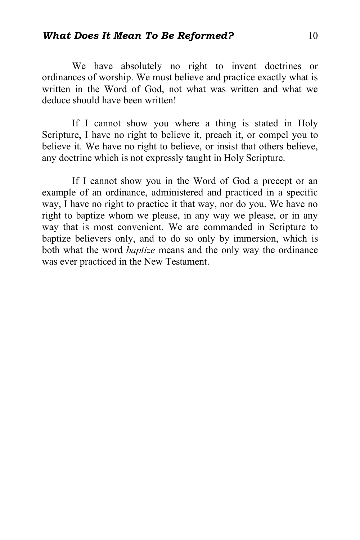# *What Does It Mean To Be Reformed?* 10

We have absolutely no right to invent doctrines or ordinances of worship. We must believe and practice exactly what is written in the Word of God, not what was written and what we deduce should have been written!

If I cannot show you where a thing is stated in Holy Scripture, I have no right to believe it, preach it, or compel you to believe it. We have no right to believe, or insist that others believe, any doctrine which is not expressly taught in Holy Scripture.

If I cannot show you in the Word of God a precept or an example of an ordinance, administered and practiced in a specific way, I have no right to practice it that way, nor do you. We have no right to baptize whom we please, in any way we please, or in any way that is most convenient. We are commanded in Scripture to baptize believers only, and to do so only by immersion, which is both what the word *baptize* means and the only way the ordinance was ever practiced in the New Testament.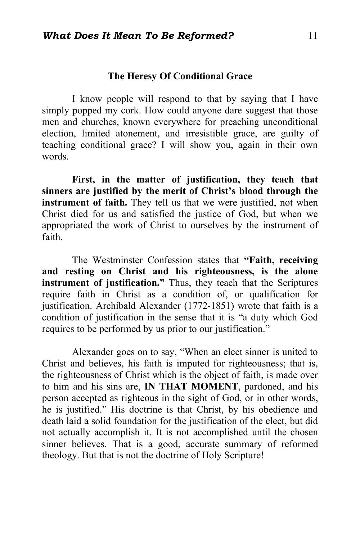## **The Heresy Of Conditional Grace**

I know people will respond to that by saying that I have simply popped my cork. How could anyone dare suggest that those men and churches, known everywhere for preaching unconditional election, limited atonement, and irresistible grace, are guilty of teaching conditional grace? I will show you, again in their own words.

**First, in the matter of justification, they teach that sinners are justified by the merit of Christ's blood through the instrument of faith.** They tell us that we were justified, not when Christ died for us and satisfied the justice of God, but when we appropriated the work of Christ to ourselves by the instrument of faith.

The Westminster Confession states that **"Faith, receiving and resting on Christ and his righteousness, is the alone instrument of justification."** Thus, they teach that the Scriptures require faith in Christ as a condition of, or qualification for justification. Archibald Alexander (1772-1851) wrote that faith is a condition of justification in the sense that it is "a duty which God requires to be performed by us prior to our justification."

Alexander goes on to say, "When an elect sinner is united to Christ and believes, his faith is imputed for righteousness; that is, the righteousness of Christ which is the object of faith, is made over to him and his sins are, **IN THAT MOMENT**, pardoned, and his person accepted as righteous in the sight of God, or in other words, he is justified." His doctrine is that Christ, by his obedience and death laid a solid foundation for the justification of the elect, but did not actually accomplish it. It is not accomplished until the chosen sinner believes. That is a good, accurate summary of reformed theology. But that is not the doctrine of Holy Scripture!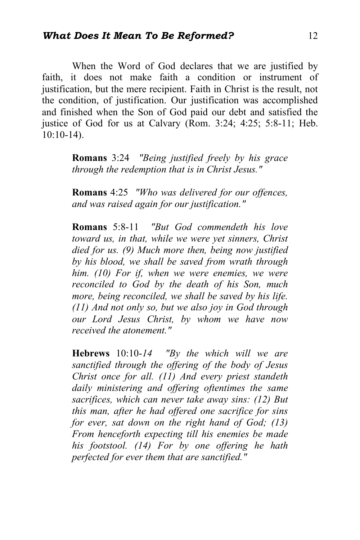When the Word of God declares that we are justified by faith, it does not make faith a condition or instrument of justification, but the mere recipient. Faith in Christ is the result, not the condition, of justification. Our justification was accomplished and finished when the Son of God paid our debt and satisfied the justice of God for us at Calvary (Rom. 3:24; 4:25; 5:8-11; Heb. 10:10-14).

> **Romans** 3:24 *"Being justified freely by his grace through the redemption that is in Christ Jesus."*

> **Romans** 4:25 *"Who was delivered for our offences, and was raised again for our justification."*

> **Romans** 5:8-11 *"But God commendeth his love toward us, in that, while we were yet sinners, Christ died for us. (9) Much more then, being now justified by his blood, we shall be saved from wrath through him. (10) For if, when we were enemies, we were reconciled to God by the death of his Son, much more, being reconciled, we shall be saved by his life. (11) And not only so, but we also joy in God through our Lord Jesus Christ, by whom we have now received the atonement."*

> **Hebrews** 10:10-*14 "By the which will we are sanctified through the offering of the body of Jesus Christ once for all. (11) And every priest standeth daily ministering and offering oftentimes the same sacrifices, which can never take away sins: (12) But this man, after he had offered one sacrifice for sins for ever, sat down on the right hand of God; (13) From henceforth expecting till his enemies be made his footstool. (14) For by one offering he hath perfected for ever them that are sanctified."*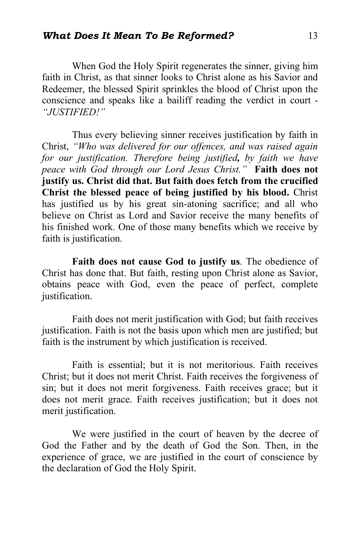When God the Holy Spirit regenerates the sinner, giving him faith in Christ, as that sinner looks to Christ alone as his Savior and Redeemer, the blessed Spirit sprinkles the blood of Christ upon the conscience and speaks like a bailiff reading the verdict in court - *"JUSTIFIED!"*

Thus every believing sinner receives justification by faith in Christ, *"Who was delivered for our offences, and was raised again for our justification. Therefore being justified, by faith we have peace with God through our Lord Jesus Christ."* **Faith does not justify us. Christ did that. But faith does fetch from the crucified Christ the blessed peace of being justified by his blood.** Christ has justified us by his great sin-atoning sacrifice; and all who believe on Christ as Lord and Savior receive the many benefits of his finished work. One of those many benefits which we receive by faith is justification.

**Faith does not cause God to justify us**. The obedience of Christ has done that. But faith, resting upon Christ alone as Savior, obtains peace with God, even the peace of perfect, complete justification.

Faith does not merit justification with God; but faith receives justification. Faith is not the basis upon which men are justified; but faith is the instrument by which justification is received.

Faith is essential; but it is not meritorious. Faith receives Christ; but it does not merit Christ. Faith receives the forgiveness of sin; but it does not merit forgiveness. Faith receives grace; but it does not merit grace. Faith receives justification; but it does not merit justification.

We were justified in the court of heaven by the decree of God the Father and by the death of God the Son. Then, in the experience of grace, we are justified in the court of conscience by the declaration of God the Holy Spirit.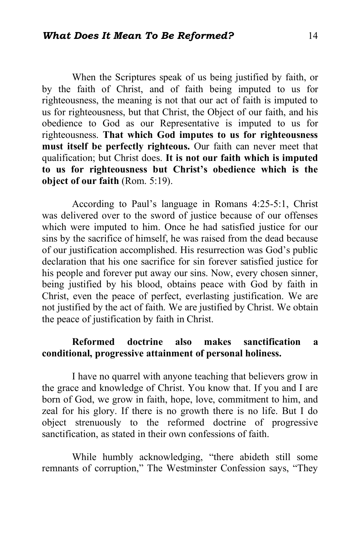When the Scriptures speak of us being justified by faith, or by the faith of Christ, and of faith being imputed to us for righteousness, the meaning is not that our act of faith is imputed to us for righteousness, but that Christ, the Object of our faith, and his obedience to God as our Representative is imputed to us for righteousness. **That which God imputes to us for righteousness must itself be perfectly righteous.** Our faith can never meet that qualification; but Christ does. **It is not our faith which is imputed to us for righteousness but Christ's obedience which is the object of our faith** (Rom. 5:19).

According to Paul's language in Romans 4:25-5:1, Christ was delivered over to the sword of justice because of our offenses which were imputed to him. Once he had satisfied justice for our sins by the sacrifice of himself, he was raised from the dead because of our justification accomplished. His resurrection was God's public declaration that his one sacrifice for sin forever satisfied justice for his people and forever put away our sins. Now, every chosen sinner, being justified by his blood, obtains peace with God by faith in Christ, even the peace of perfect, everlasting justification. We are not justified by the act of faith. We are justified by Christ. We obtain the peace of justification by faith in Christ.

# **Reformed doctrine also makes sanctification a conditional, progressive attainment of personal holiness.**

I have no quarrel with anyone teaching that believers grow in the grace and knowledge of Christ. You know that. If you and I are born of God, we grow in faith, hope, love, commitment to him, and zeal for his glory. If there is no growth there is no life. But I do object strenuously to the reformed doctrine of progressive sanctification, as stated in their own confessions of faith.

While humbly acknowledging, "there abideth still some remnants of corruption," The Westminster Confession says, "They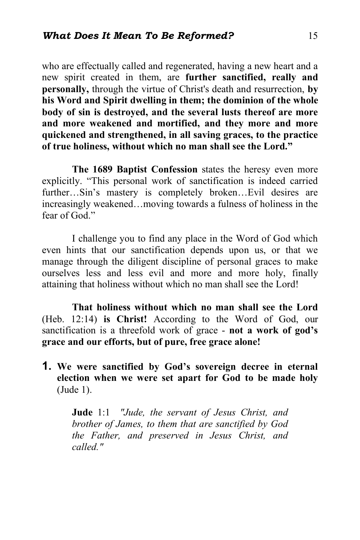who are effectually called and regenerated, having a new heart and a new spirit created in them, are **further sanctified, really and personally,** through the virtue of Christ's death and resurrection, **by his Word and Spirit dwelling in them; the dominion of the whole body of sin is destroyed, and the several lusts thereof are more and more weakened and mortified, and they more and more quickened and strengthened, in all saving graces, to the practice of true holiness, without which no man shall see the Lord."** 

**The 1689 Baptist Confession** states the heresy even more explicitly. "This personal work of sanctification is indeed carried further...Sin's mastery is completely broken...Evil desires are increasingly weakened…moving towards a fulness of holiness in the fear of God<sup>"</sup>

I challenge you to find any place in the Word of God which even hints that our sanctification depends upon us, or that we manage through the diligent discipline of personal graces to make ourselves less and less evil and more and more holy, finally attaining that holiness without which no man shall see the Lord!

**That holiness without which no man shall see the Lord**  (Heb. 12:14) **is Christ!** According to the Word of God, our sanctification is a threefold work of grace - **not a work of god's grace and our efforts, but of pure, free grace alone!**

**1. We were sanctified by God's sovereign decree in eternal election when we were set apart for God to be made holy** (Jude 1).

> **Jude** 1:1 *"Jude, the servant of Jesus Christ, and brother of James, to them that are sanctified by God the Father, and preserved in Jesus Christ, and called."*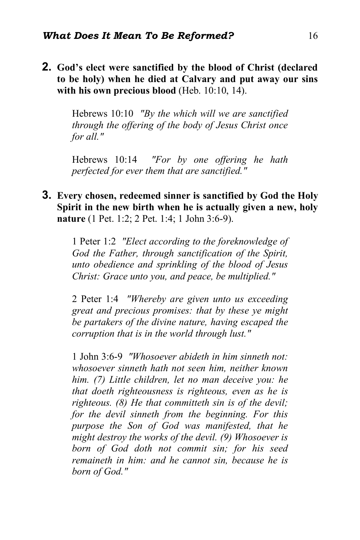**2. God's elect were sanctified by the blood of Christ (declared to be holy) when he died at Calvary and put away our sins with his own precious blood** (Heb. 10:10, 14).

> Hebrews 10:10 *"By the which will we are sanctified through the offering of the body of Jesus Christ once for all."*

> Hebrews 10:14 *"For by one offering he hath perfected for ever them that are sanctified."*

**3. Every chosen, redeemed sinner is sanctified by God the Holy Spirit in the new birth when he is actually given a new, holy nature** (1 Pet. 1:2; 2 Pet. 1:4; 1 John 3:6-9).

> 1 Peter 1:2 *"Elect according to the foreknowledge of God the Father, through sanctification of the Spirit, unto obedience and sprinkling of the blood of Jesus Christ: Grace unto you, and peace, be multiplied."*

> 2 Peter 1:4 *"Whereby are given unto us exceeding great and precious promises: that by these ye might be partakers of the divine nature, having escaped the corruption that is in the world through lust."*

> 1 John 3:6-9 *"Whosoever abideth in him sinneth not: whosoever sinneth hath not seen him, neither known him. (7) Little children, let no man deceive you: he that doeth righteousness is righteous, even as he is righteous. (8) He that committeth sin is of the devil; for the devil sinneth from the beginning. For this purpose the Son of God was manifested, that he might destroy the works of the devil. (9) Whosoever is born of God doth not commit sin; for his seed remaineth in him: and he cannot sin, because he is born of God."*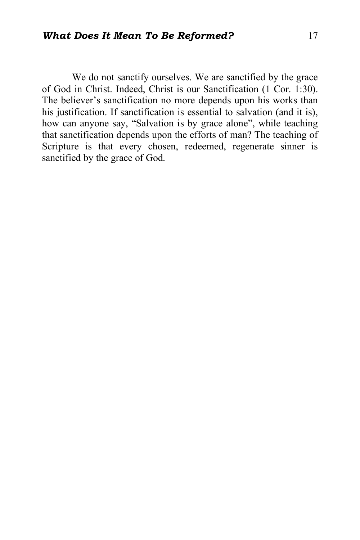We do not sanctify ourselves. We are sanctified by the grace of God in Christ. Indeed, Christ is our Sanctification (1 Cor. 1:30). The believer's sanctification no more depends upon his works than his justification. If sanctification is essential to salvation (and it is), how can anyone say, "Salvation is by grace alone", while teaching that sanctification depends upon the efforts of man? The teaching of Scripture is that every chosen, redeemed, regenerate sinner is sanctified by the grace of God.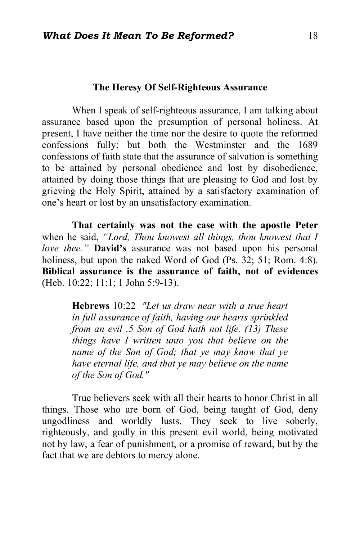## **The Heresy Of Self-Righteous Assurance**

When I speak of self-righteous assurance, I am talking about assurance based upon the presumption of personal holiness. At present, I have neither the time nor the desire to quote the reformed confessions fully; but both the Westminster and the 1689 confessions of faith state that the assurance of salvation is something to be attained by personal obedience and lost by disobedience, attained by doing those things that are pleasing to God and lost by grieving the Holy Spirit, attained by a satisfactory examination of one's heart or lost by an unsatisfactory examination.

**That certainly was not the case with the apostle Peter** when he said, *"Lord, Thou knowest all things, thou knowest that I love thee."* **David's** assurance was not based upon his personal holiness, but upon the naked Word of God (Ps. 32; 51; Rom. 4:8). **Biblical assurance is the assurance of faith, not of evidences** (Heb. 10:22; 11:1; 1 John 5:9-13).

**Hebrews** 10:22 *"Let us draw near with a true heart in full assurance of faith, having our hearts sprinkled from an evil .5 Son of God hath not life. (13) These things have I written unto you that believe on the name of the Son of God; that ye may know that ye have eternal life, and that ye may believe on the name of the Son of God."*

True believers seek with all their hearts to honor Christ in all things. Those who are born of God, being taught of God, deny ungodliness and worldly lusts. They seek to live soberly, righteously, and godly in this present evil world, being motivated not by law, a fear of punishment, or a promise of reward, but by the fact that we are debtors to mercy alone.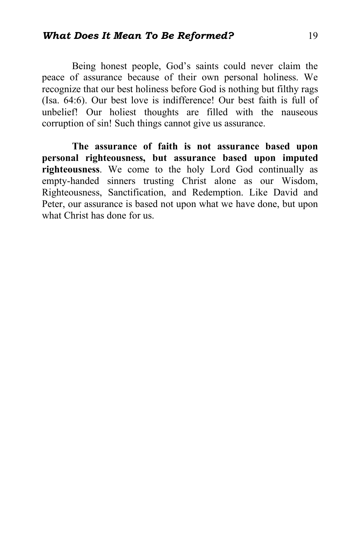# *What Does It Mean To Be Reformed?* 19

Being honest people, God's saints could never claim the peace of assurance because of their own personal holiness. We recognize that our best holiness before God is nothing but filthy rags (Isa. 64:6). Our best love is indifference! Our best faith is full of unbelief! Our holiest thoughts are filled with the nauseous corruption of sin! Such things cannot give us assurance.

**The assurance of faith is not assurance based upon personal righteousness, but assurance based upon imputed righteousness**. We come to the holy Lord God continually as empty-handed sinners trusting Christ alone as our Wisdom, Righteousness, Sanctification, and Redemption. Like David and Peter, our assurance is based not upon what we have done, but upon what Christ has done for us.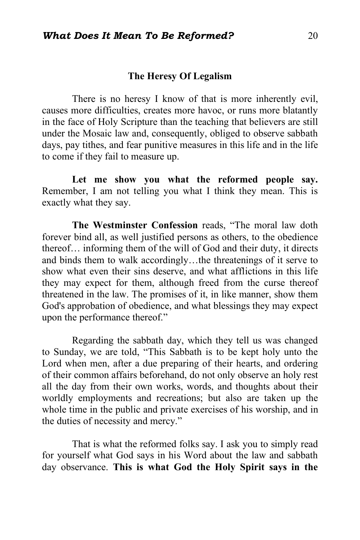## **The Heresy Of Legalism**

There is no heresy I know of that is more inherently evil, causes more difficulties, creates more havoc, or runs more blatantly in the face of Holy Scripture than the teaching that believers are still under the Mosaic law and, consequently, obliged to observe sabbath days, pay tithes, and fear punitive measures in this life and in the life to come if they fail to measure up.

**Let me show you what the reformed people say.**  Remember, I am not telling you what I think they mean. This is exactly what they say.

**The Westminster Confession** reads, "The moral law doth forever bind all, as well justified persons as others, to the obedience thereof… informing them of the will of God and their duty, it directs and binds them to walk accordingly…the threatenings of it serve to show what even their sins deserve, and what afflictions in this life they may expect for them, although freed from the curse thereof threatened in the law. The promises of it, in like manner, show them God's approbation of obedience, and what blessings they may expect upon the performance thereof."

Regarding the sabbath day, which they tell us was changed to Sunday, we are told, "This Sabbath is to be kept holy unto the Lord when men, after a due preparing of their hearts, and ordering of their common affairs beforehand, do not only observe an holy rest all the day from their own works, words, and thoughts about their worldly employments and recreations; but also are taken up the whole time in the public and private exercises of his worship, and in the duties of necessity and mercy."

That is what the reformed folks say. I ask you to simply read for yourself what God says in his Word about the law and sabbath day observance. **This is what God the Holy Spirit says in the**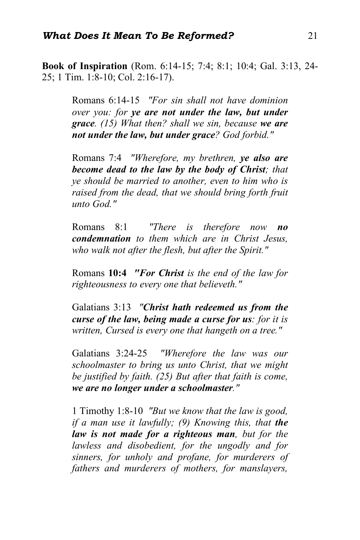**Book of Inspiration** (Rom. 6:14-15; 7:4; 8:1; 10:4; Gal. 3:13, 24- 25; 1 Tim. 1:8-10; Col. 2:16-17).

> Romans 6:14-15 *"For sin shall not have dominion over you: for ye are not under the law, but under grace. (15) What then? shall we sin, because we are not under the law, but under grace? God forbid."*

> Romans 7:4 *"Wherefore, my brethren, ye also are become dead to the law by the body of Christ; that ye should be married to another, even to him who is raised from the dead, that we should bring forth fruit unto God."*

> Romans 8:1 *"There is therefore now no condemnation to them which are in Christ Jesus, who walk not after the flesh, but after the Spirit."*

> Romans **10:4** *"For Christ is the end of the law for righteousness to every one that believeth."*

> Galatians 3:13 *"Christ hath redeemed us from the curse of the law, being made a curse for us: for it is written, Cursed is every one that hangeth on a tree."*

> Galatians 3:24-25 *"Wherefore the law was our schoolmaster to bring us unto Christ, that we might be justified by faith. (25) But after that faith is come, we are no longer under a schoolmaster."*

> 1 Timothy 1:8-10 *"But we know that the law is good, if a man use it lawfully; (9) Knowing this, that the law is not made for a righteous man, but for the lawless and disobedient, for the ungodly and for sinners, for unholy and profane, for murderers of fathers and murderers of mothers, for manslayers,*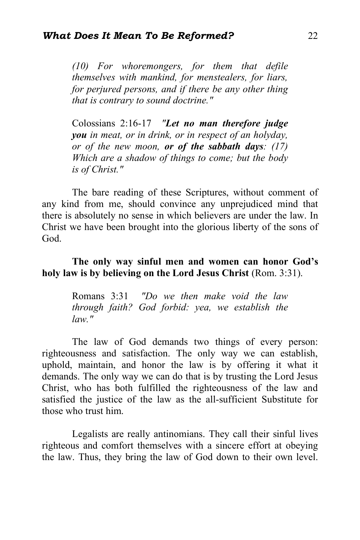*(10) For whoremongers, for them that defile themselves with mankind, for menstealers, for liars, for perjured persons, and if there be any other thing that is contrary to sound doctrine."*

Colossians 2:16-17 *"Let no man therefore judge you in meat, or in drink, or in respect of an holyday, or of the new moon, or of the sabbath days: (17) Which are a shadow of things to come; but the body is of Christ."*

The bare reading of these Scriptures, without comment of any kind from me, should convince any unprejudiced mind that there is absolutely no sense in which believers are under the law. In Christ we have been brought into the glorious liberty of the sons of God.

# **The only way sinful men and women can honor God's holy law is by believing on the Lord Jesus Christ** (Rom. 3:31).

Romans 3:31 *"Do we then make void the law through faith? God forbid: yea, we establish the law."*

The law of God demands two things of every person: righteousness and satisfaction. The only way we can establish, uphold, maintain, and honor the law is by offering it what it demands. The only way we can do that is by trusting the Lord Jesus Christ, who has both fulfilled the righteousness of the law and satisfied the justice of the law as the all-sufficient Substitute for those who trust him.

Legalists are really antinomians. They call their sinful lives righteous and comfort themselves with a sincere effort at obeying the law. Thus, they bring the law of God down to their own level.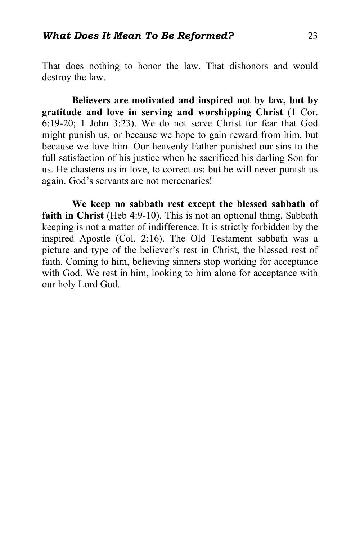That does nothing to honor the law. That dishonors and would destroy the law.

**Believers are motivated and inspired not by law, but by gratitude and love in serving and worshipping Christ** (1 Cor. 6:19-20; 1 John 3:23). We do not serve Christ for fear that God might punish us, or because we hope to gain reward from him, but because we love him. Our heavenly Father punished our sins to the full satisfaction of his justice when he sacrificed his darling Son for us. He chastens us in love, to correct us; but he will never punish us again. God's servants are not mercenaries!

**We keep no sabbath rest except the blessed sabbath of faith in Christ** (Heb 4:9-10). This is not an optional thing. Sabbath keeping is not a matter of indifference. It is strictly forbidden by the inspired Apostle (Col. 2:16). The Old Testament sabbath was a picture and type of the believer's rest in Christ, the blessed rest of faith. Coming to him, believing sinners stop working for acceptance with God. We rest in him, looking to him alone for acceptance with our holy Lord God.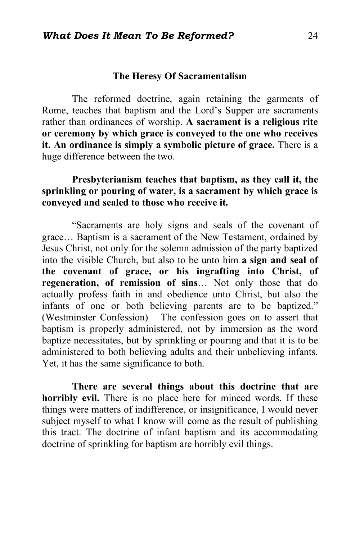## **The Heresy Of Sacramentalism**

The reformed doctrine, again retaining the garments of Rome, teaches that baptism and the Lord's Supper are sacraments rather than ordinances of worship. **A sacrament is a religious rite or ceremony by which grace is conveyed to the one who receives it. An ordinance is simply a symbolic picture of grace.** There is a huge difference between the two.

# **Presbyterianism teaches that baptism, as they call it, the sprinkling or pouring of water, is a sacrament by which grace is conveyed and sealed to those who receive it.**

"Sacraments are holy signs and seals of the covenant of grace… Baptism is a sacrament of the New Testament, ordained by Jesus Christ, not only for the solemn admission of the party baptized into the visible Church, but also to be unto him **a sign and seal of the covenant of grace, or his ingrafting into Christ, of regeneration, of remission of sins**… Not only those that do actually profess faith in and obedience unto Christ, but also the infants of one or both believing parents are to be baptized." (Westminster Confession) The confession goes on to assert that baptism is properly administered, not by immersion as the word baptize necessitates, but by sprinkling or pouring and that it is to be administered to both believing adults and their unbelieving infants. Yet, it has the same significance to both.

**There are several things about this doctrine that are horribly evil.** There is no place here for minced words. If these things were matters of indifference, or insignificance, I would never subject myself to what I know will come as the result of publishing this tract. The doctrine of infant baptism and its accommodating doctrine of sprinkling for baptism are horribly evil things.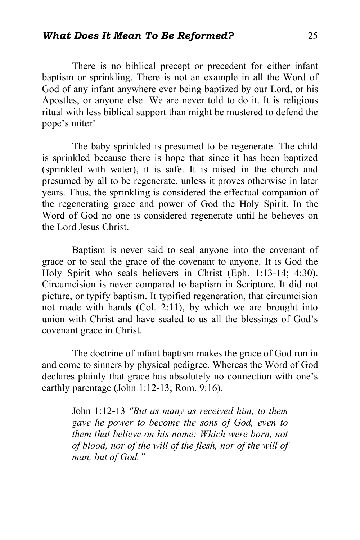### *What Does It Mean To Be Reformed?* 25

There is no biblical precept or precedent for either infant baptism or sprinkling. There is not an example in all the Word of God of any infant anywhere ever being baptized by our Lord, or his Apostles, or anyone else. We are never told to do it. It is religious ritual with less biblical support than might be mustered to defend the pope's miter!

The baby sprinkled is presumed to be regenerate. The child is sprinkled because there is hope that since it has been baptized (sprinkled with water), it is safe. It is raised in the church and presumed by all to be regenerate, unless it proves otherwise in later years. Thus, the sprinkling is considered the effectual companion of the regenerating grace and power of God the Holy Spirit. In the Word of God no one is considered regenerate until he believes on the Lord Jesus Christ.

Baptism is never said to seal anyone into the covenant of grace or to seal the grace of the covenant to anyone. It is God the Holy Spirit who seals believers in Christ (Eph. 1:13-14; 4:30). Circumcision is never compared to baptism in Scripture. It did not picture, or typify baptism. It typified regeneration, that circumcision not made with hands (Col. 2:11), by which we are brought into union with Christ and have sealed to us all the blessings of God's covenant grace in Christ.

The doctrine of infant baptism makes the grace of God run in and come to sinners by physical pedigree. Whereas the Word of God declares plainly that grace has absolutely no connection with one's earthly parentage (John 1:12-13; Rom. 9:16).

> John 1:12-13 *"But as many as received him, to them gave he power to become the sons of God, even to them that believe on his name: Which were born, not of blood, nor of the will of the flesh, nor of the will of man, but of God."*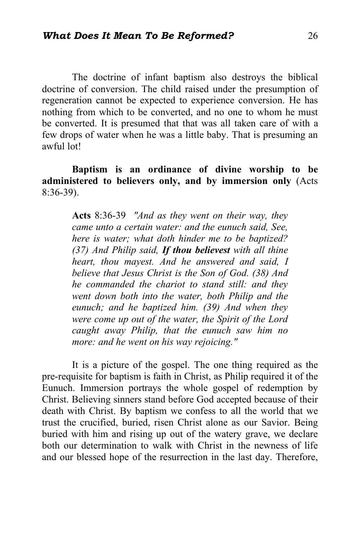The doctrine of infant baptism also destroys the biblical doctrine of conversion. The child raised under the presumption of regeneration cannot be expected to experience conversion. He has nothing from which to be converted, and no one to whom he must be converted. It is presumed that that was all taken care of with a few drops of water when he was a little baby. That is presuming an awful lot!

**Baptism is an ordinance of divine worship to be administered to believers only, and by immersion only** (Acts 8:36-39).

> **Acts** 8:36-39 *"And as they went on their way, they came unto a certain water: and the eunuch said, See, here is water; what doth hinder me to be baptized? (37) And Philip said, If thou believest with all thine heart, thou mayest. And he answered and said, I believe that Jesus Christ is the Son of God. (38) And he commanded the chariot to stand still: and they went down both into the water, both Philip and the eunuch; and he baptized him. (39) And when they were come up out of the water, the Spirit of the Lord caught away Philip, that the eunuch saw him no more: and he went on his way rejoicing."*

It is a picture of the gospel. The one thing required as the pre-requisite for baptism is faith in Christ, as Philip required it of the Eunuch. Immersion portrays the whole gospel of redemption by Christ. Believing sinners stand before God accepted because of their death with Christ. By baptism we confess to all the world that we trust the crucified, buried, risen Christ alone as our Savior. Being buried with him and rising up out of the watery grave, we declare both our determination to walk with Christ in the newness of life and our blessed hope of the resurrection in the last day. Therefore,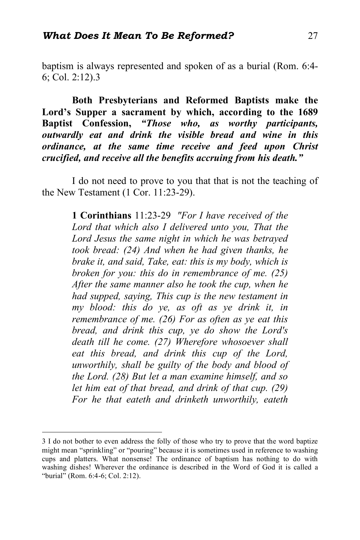baptism is always represented and spoken of as a burial (Rom. 6:4- 6; Col. 2:12).3

**Both Presbyterians and Reformed Baptists make the Lord's Supper a sacrament by which, according to the 1689 Baptist Confession,** *"Those who, as worthy participants, outwardly eat and drink the visible bread and wine in this ordinance, at the same time receive and feed upon Christ crucified, and receive all the benefits accruing from his death."*

I do not need to prove to you that that is not the teaching of the New Testament (1 Cor. 11:23-29).

> **1 Corinthians** 11:23-29 *"For I have received of the Lord that which also I delivered unto you, That the Lord Jesus the same night in which he was betrayed took bread: (24) And when he had given thanks, he brake it, and said, Take, eat: this is my body, which is broken for you: this do in remembrance of me. (25) After the same manner also he took the cup, when he had supped, saying, This cup is the new testament in my blood: this do ye, as oft as ye drink it, in remembrance of me. (26) For as often as ye eat this bread, and drink this cup, ye do show the Lord's death till he come. (27) Wherefore whosoever shall eat this bread, and drink this cup of the Lord, unworthily, shall be guilty of the body and blood of the Lord. (28) But let a man examine himself, and so let him eat of that bread, and drink of that cup. (29) For he that eateth and drinketh unworthily, eateth*

 <sup>3</sup> I do not bother to even address the folly of those who try to prove that the word baptize might mean "sprinkling" or "pouring" because it is sometimes used in reference to washing cups and platters. What nonsense! The ordinance of baptism has nothing to do with washing dishes! Wherever the ordinance is described in the Word of God it is called a "burial" (Rom. 6:4-6; Col. 2:12).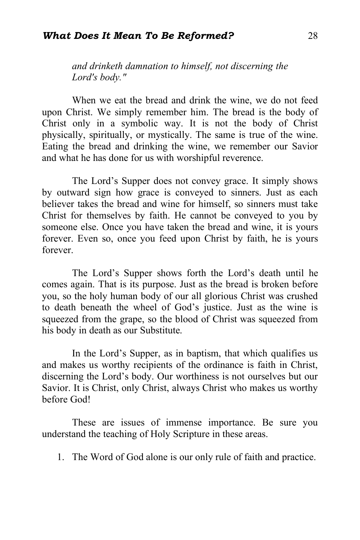## *What Does It Mean To Be Reformed?* 28

*and drinketh damnation to himself, not discerning the Lord's body."*

When we eat the bread and drink the wine, we do not feed upon Christ. We simply remember him. The bread is the body of Christ only in a symbolic way. It is not the body of Christ physically, spiritually, or mystically. The same is true of the wine. Eating the bread and drinking the wine, we remember our Savior and what he has done for us with worshipful reverence.

The Lord's Supper does not convey grace. It simply shows by outward sign how grace is conveyed to sinners. Just as each believer takes the bread and wine for himself, so sinners must take Christ for themselves by faith. He cannot be conveyed to you by someone else. Once you have taken the bread and wine, it is yours forever. Even so, once you feed upon Christ by faith, he is yours forever.

The Lord's Supper shows forth the Lord's death until he comes again. That is its purpose. Just as the bread is broken before you, so the holy human body of our all glorious Christ was crushed to death beneath the wheel of God's justice. Just as the wine is squeezed from the grape, so the blood of Christ was squeezed from his body in death as our Substitute.

In the Lord's Supper, as in baptism, that which qualifies us and makes us worthy recipients of the ordinance is faith in Christ, discerning the Lord's body. Our worthiness is not ourselves but our Savior. It is Christ, only Christ, always Christ who makes us worthy before God!

These are issues of immense importance. Be sure you understand the teaching of Holy Scripture in these areas.

1. The Word of God alone is our only rule of faith and practice.